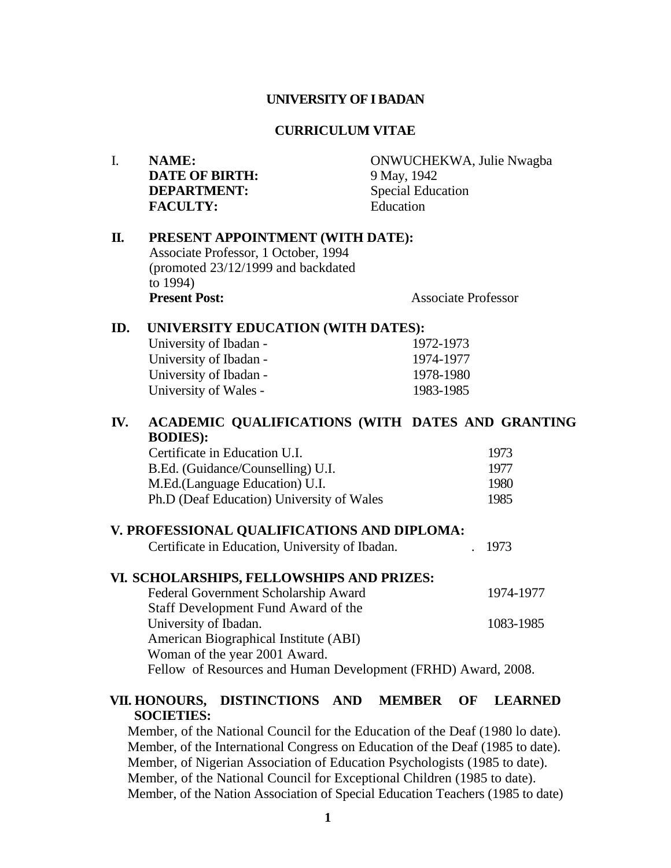#### **UNIVERSITY OF I BADAN**

#### **CURRICULUM VITAE**

| I.  | <b>NAME:</b><br><b>DATE OF BIRTH:</b><br><b>DEPARTMENT:</b><br><b>FACULTY:</b>                                             | ONWUCHEKWA, Julie Nwagba<br>9 May, 1942<br><b>Special Education</b><br>Education |  |
|-----|----------------------------------------------------------------------------------------------------------------------------|----------------------------------------------------------------------------------|--|
| П.  | PRESENT APPOINTMENT (WITH DATE):<br>Associate Professor, 1 October, 1994<br>(promoted 23/12/1999 and backdated<br>to 1994) |                                                                                  |  |
|     | <b>Present Post:</b>                                                                                                       | <b>Associate Professor</b>                                                       |  |
| ID. | UNIVERSITY EDUCATION (WITH DATES):                                                                                         |                                                                                  |  |
|     | University of Ibadan -                                                                                                     | 1972-1973                                                                        |  |
|     | University of Ibadan -                                                                                                     | 1974-1977                                                                        |  |
|     | University of Ibadan -                                                                                                     | 1978-1980                                                                        |  |
|     | University of Wales -                                                                                                      | 1983-1985                                                                        |  |
| IV. | ACADEMIC QUALIFICATIONS (WITH DATES AND GRANTING<br><b>BODIES:</b>                                                         |                                                                                  |  |
|     | Certificate in Education U.I.                                                                                              | 1973                                                                             |  |
|     | B.Ed. (Guidance/Counselling) U.I.                                                                                          | 1977                                                                             |  |
|     | M.Ed.(Language Education) U.I.                                                                                             | 1980                                                                             |  |
|     | Ph.D (Deaf Education) University of Wales                                                                                  | 1985                                                                             |  |
|     | V. PROFESSIONAL QUALIFICATIONS AND DIPLOMA:                                                                                |                                                                                  |  |
|     | Certificate in Education, University of Ibadan.                                                                            | 1973                                                                             |  |
|     | VI. SCHOLARSHIPS, FELLOWSHIPS AND PRIZES:                                                                                  |                                                                                  |  |
|     | Federal Government Scholarship Award                                                                                       | 1974-1977                                                                        |  |
|     | Staff Development Fund Award of the                                                                                        |                                                                                  |  |
|     | University of Ibadan.                                                                                                      | 1083-1985                                                                        |  |
|     | American Biographical Institute (ABI)                                                                                      |                                                                                  |  |
|     | Woman of the year 2001 Award.                                                                                              |                                                                                  |  |
|     | Fellow of Resources and Human Development (FRHD) Award, 2008.                                                              |                                                                                  |  |
|     |                                                                                                                            |                                                                                  |  |

#### **VII. HONOURS, DISTINCTIONS AND MEMBER OF LEARNED SOCIETIES:**

Member, of the National Council for the Education of the Deaf (1980 lo date). Member, of the International Congress on Education of the Deaf (1985 to date). Member, of Nigerian Association of Education Psychologists (1985 to date). Member, of the National Council for Exceptional Children (1985 to date). Member, of the Nation Association of Special Education Teachers (1985 to date)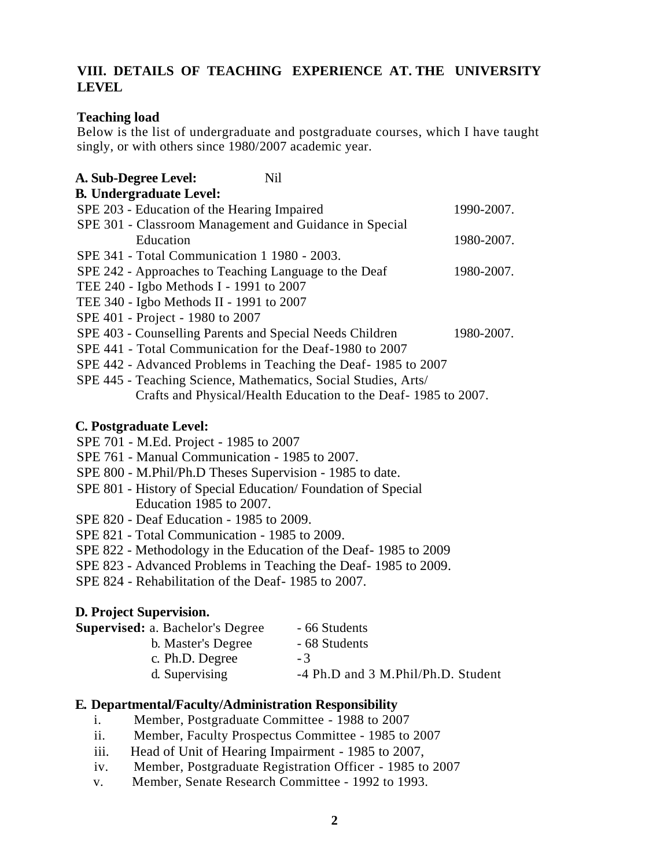## **VIII. DETAILS OF TEACHING EXPERIENCE AT. THE UNIVERSITY LEVEL**

#### **Teaching load**

Below is the list of undergraduate and postgraduate courses, which I have taught singly, or with others since 1980/2007 academic year.

| A. Sub-Degree Level:<br><b>Nil</b>                             |            |
|----------------------------------------------------------------|------------|
| <b>B. Undergraduate Level:</b>                                 |            |
| SPE 203 - Education of the Hearing Impaired                    | 1990-2007. |
| SPE 301 - Classroom Management and Guidance in Special         |            |
| Education                                                      | 1980-2007. |
| SPE 341 - Total Communication 1 1980 - 2003.                   |            |
| SPE 242 - Approaches to Teaching Language to the Deaf          | 1980-2007. |
| TEE 240 - Igbo Methods I - 1991 to 2007                        |            |
| TEE 340 - Igbo Methods II - 1991 to 2007                       |            |
| SPE 401 - Project - 1980 to 2007                               |            |
| SPE 403 - Counselling Parents and Special Needs Children       | 1980-2007. |
| SPE 441 - Total Communication for the Deaf-1980 to 2007        |            |
| SPE 442 - Advanced Problems in Teaching the Deaf-1985 to 2007  |            |
| SPE 445 - Teaching Science, Mathematics, Social Studies, Arts/ |            |
| Crafts and Physical/Health Education to the Deaf-1985 to 2007. |            |

#### **C. Postgraduate Level:**

- SPE 701 M.Ed. Project 1985 to 2007
- SPE 761 Manual Communication 1985 to 2007.
- SPE 800 M.Phil/Ph.D Theses Supervision 1985 to date.
- SPE 801 History of Special Education/ Foundation of Special Education 1985 to 2007.
- SPE 820 Deaf Education 1985 to 2009.
- SPE 821 Total Communication 1985 to 2009.
- SPE 822 Methodology in the Education of the Deaf- 1985 to 2009
- SPE 823 Advanced Problems in Teaching the Deaf- 1985 to 2009.
- SPE 824 Rehabilitation of the Deaf- 1985 to 2007.

#### **D. Project Supervision.**

| - 66 Students                      |
|------------------------------------|
| - 68 Students                      |
| -3                                 |
| -4 Ph.D and 3 M.Phil/Ph.D. Student |
|                                    |

#### **E. Departmental/Faculty/Administration Responsibility**

- i. Member, Postgraduate Committee 1988 to 2007
- ii. Member, Faculty Prospectus Committee 1985 to 2007
- iii. Head of Unit of Hearing Impairment 1985 to 2007,
- iv. Member, Postgraduate Registration Officer 1985 to 2007
- v. Member, Senate Research Committee 1992 to 1993.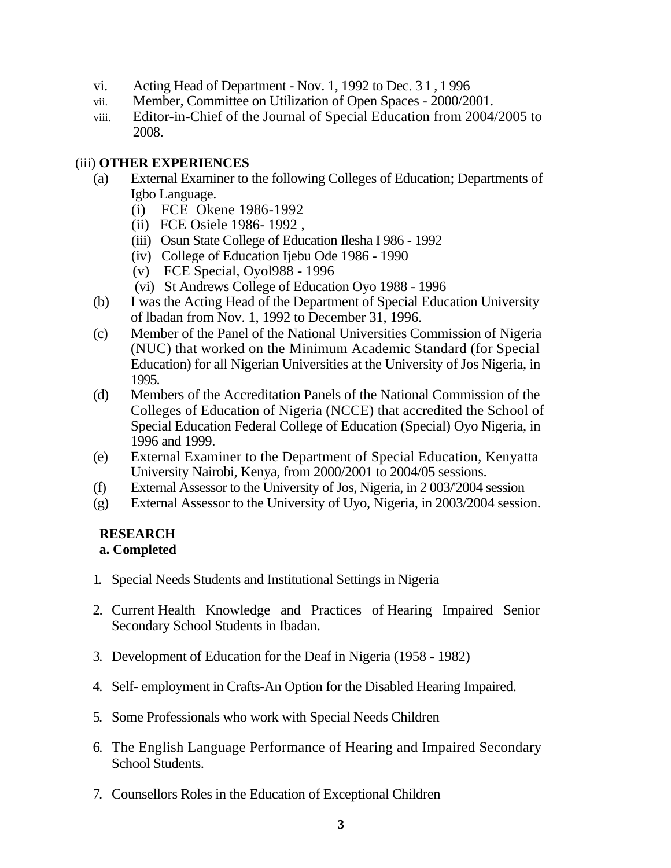- vi. Acting Head of Department Nov. 1, 1992 to Dec. 3 1 , 1 996
- vii. Member, Committee on Utilization of Open Spaces 2000/2001.
- viii. Editor-in-Chief of the Journal of Special Education from 2004/2005 to 2008.

#### (iii) **OTHER EXPERIENCES**

- (a) External Examiner to the following Colleges of Education; Departments of Igbo Language.
	- (i) FCE Okene 1986-1992
	- (ii) FCE Osiele 1986- 1992 ,
	- (iii) Osun State College of Education Ilesha I 986 1992
	- (iv) College of Education Ijebu Ode 1986 1990
	- (v) FCE Special, Oyol988 1996
	- (vi) St Andrews College of Education Oyo 1988 1996
- (b) I was the Acting Head of the Department of Special Education University of lbadan from Nov. 1, 1992 to December 31, 1996.
- (c) Member of the Panel of the National Universities Commission of Nigeria (NUC) that worked on the Minimum Academic Standard (for Special Education) for all Nigerian Universities at the University of Jos Nigeria, in 1995.
- (d) Members of the Accreditation Panels of the National Commission of the Colleges of Education of Nigeria (NCCE) that accredited the School of Special Education Federal College of Education (Special) Oyo Nigeria, in 1996 and 1999.
- (e) External Examiner to the Department of Special Education, Kenyatta University Nairobi, Kenya, from 2000/2001 to 2004/05 sessions.
- (f) External Assessor to the University of Jos, Nigeria, in 2 003/'2004 session
- (g) External Assessor to the University of Uyo, Nigeria, in 2003/2004 session.

# **RESEARCH**

## **a. Completed**

- 1. Special Needs Students and Institutional Settings in Nigeria
- 2. Current Health Knowledge and Practices of Hearing Impaired Senior Secondary School Students in Ibadan.
- 3. Development of Education for the Deaf in Nigeria (1958 1982)
- 4. Self- employment in Crafts-An Option for the Disabled Hearing Impaired.
- 5. Some Professionals who work with Special Needs Children
- 6. The English Language Performance of Hearing and Impaired Secondary School Students.
- 7. Counsellors Roles in the Education of Exceptional Children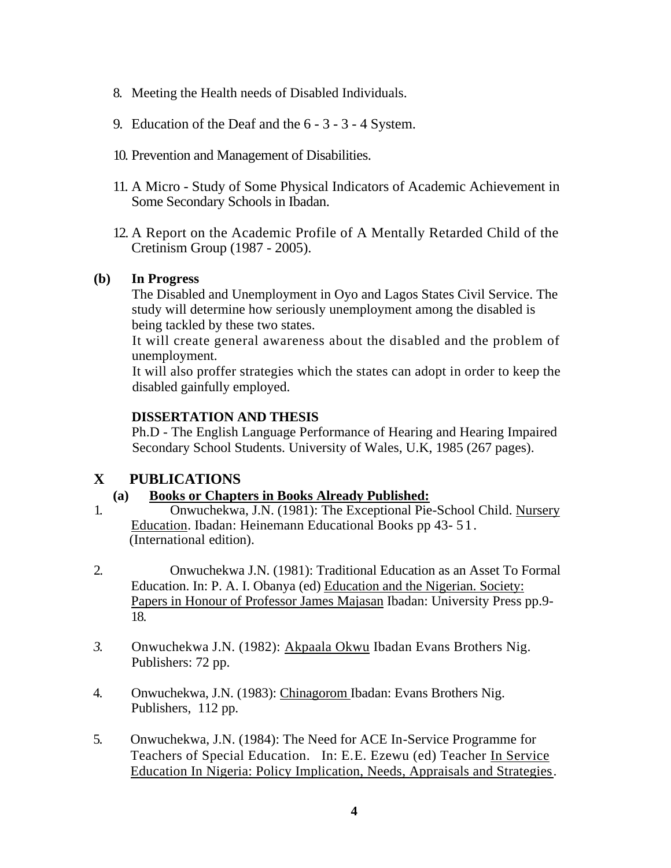- 8. Meeting the Health needs of Disabled Individuals.
- 9. Education of the Deaf and the 6 3 3 4 System.
- 10. Prevention and Management of Disabilities.
- 11. A Micro Study of Some Physical Indicators of Academic Achievement in Some Secondary Schools in Ibadan.
- 12. A Report on the Academic Profile of A Mentally Retarded Child of the Cretinism Group (1987 - 2005).

#### **(b) In Progress**

The Disabled and Unemployment in Oyo and Lagos States Civil Service. The study will determine how seriously unemployment among the disabled is being tackled by these two states.

It will create general awareness about the disabled and the problem of unemployment.

It will also proffer strategies which the states can adopt in order to keep the disabled gainfully employed.

## **DISSERTATION AND THESIS**

Ph.D - The English Language Performance of Hearing and Hearing Impaired Secondary School Students. University of Wales, U.K, 1985 (267 pages).

# **X PUBLICATIONS**

## **(a) Books or Chapters in Books Already Published:**

- 1. Onwuchekwa, J.N. (1981): The Exceptional Pie-School Child. Nursery Education. Ibadan: Heinemann Educational Books pp 43- 51. (International edition).
- 2. Onwuchekwa J.N. (1981): Traditional Education as an Asset To Formal Education. In: P. A. I. Obanya (ed) Education and the Nigerian. Society: Papers in Honour of Professor James Majasan Ibadan: University Press pp.9- 18.
- *3.* Onwuchekwa J.N. (1982): Akpaala Okwu Ibadan Evans Brothers Nig. Publishers: 72 pp.
- 4. Onwuchekwa, J.N. (1983): Chinagorom Ibadan: Evans Brothers Nig. Publishers, 112 pp.
- 5. Onwuchekwa, J.N. (1984): The Need for ACE In-Service Programme for Teachers of Special Education. In: E.E. Ezewu (ed) Teacher In Service Education In Nigeria: Policy Implication, Needs, Appraisals and Strategies.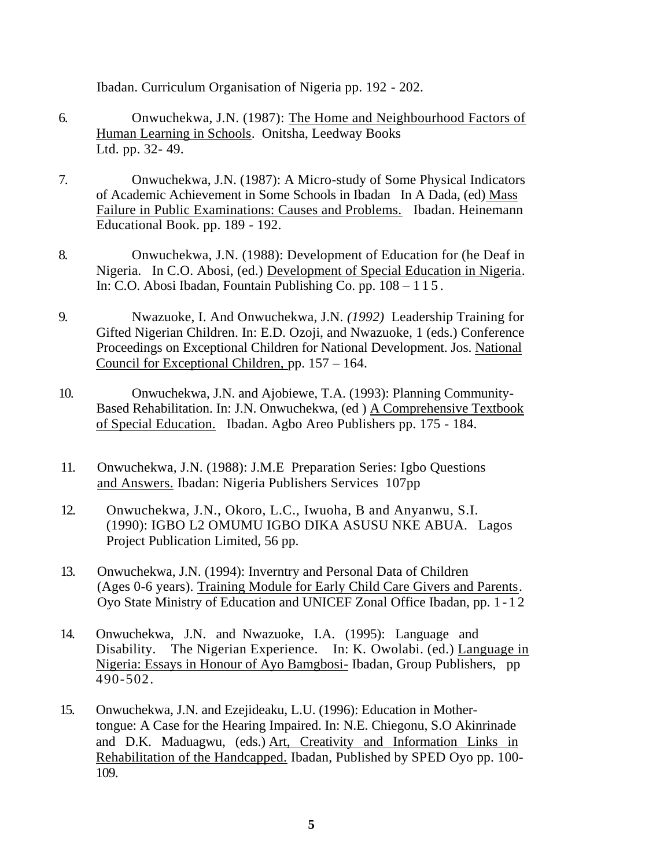Ibadan. Curriculum Organisation of Nigeria pp. 192 - 202.

- 6. Onwuchekwa, J.N. (1987): The Home and Neighbourhood Factors of Human Learning in Schools. Onitsha, Leedway Books Ltd. pp. 32- 49.
- 7. Onwuchekwa, J.N. (1987): A Micro-study of Some Physical Indicators of Academic Achievement in Some Schools in Ibadan In A Dada, (ed) Mass Failure in Public Examinations: Causes and Problems. Ibadan. Heinemann Educational Book. pp. 189 - 192.
- 8. Onwuchekwa, J.N. (1988): Development of Education for (he Deaf in Nigeria. In C.O. Abosi, (ed.) Development of Special Education in Nigeria. In: C.O. Abosi Ibadan, Fountain Publishing Co. pp. 108 – 115.
- 9. Nwazuoke, I. And Onwuchekwa, J.N. *(1992)* Leadership Training for Gifted Nigerian Children. In: E.D. Ozoji, and Nwazuoke, 1 (eds.) Conference Proceedings on Exceptional Children for National Development. Jos. National Council for Exceptional Children, pp. 157 – 164.
- 10. Onwuchekwa, J.N. and Ajobiewe, T.A. (1993): Planning Community-Based Rehabilitation. In: J.N. Onwuchekwa, (ed ) A Comprehensive Textbook of Special Education. Ibadan. Agbo Areo Publishers pp. 175 - 184.
- 11. Onwuchekwa, J.N. (1988): J.M.E Preparation Series: Igbo Questions and Answers. Ibadan: Nigeria Publishers Services 107pp
- 12. Onwuchekwa, J.N., Okoro, L.C., Iwuoha, B and Anyanwu, S.I. (1990): IGBO L2 OMUMU IGBO DIKA ASUSU NKE ABUA. Lagos Project Publication Limited, 56 pp.
- 13. Onwuchekwa, J.N. (1994): Inverntry and Personal Data of Children (Ages 0-6 years). Training Module for Early Child Care Givers and Parents. Oyo State Ministry of Education and UNICEF Zonal Office Ibadan, pp. 1 - 1 2
- 14. Onwuchekwa, J.N. and Nwazuoke, I.A. (1995): Language and Disability. The Nigerian Experience. In: K. Owolabi. (ed.) Language in Nigeria: Essays in Honour of Ayo Bamgbosi- Ibadan, Group Publishers, pp 490-502.
- 15. Onwuchekwa, J.N. and Ezejideaku, L.U. (1996): Education in Mothertongue: A Case for the Hearing Impaired. In: N.E. Chiegonu, S.O Akinrinade and D.K. Maduagwu, (eds.) Art, Creativity and Information Links in Rehabilitation of the Handcapped. Ibadan, Published by SPED Oyo pp. 100- 109.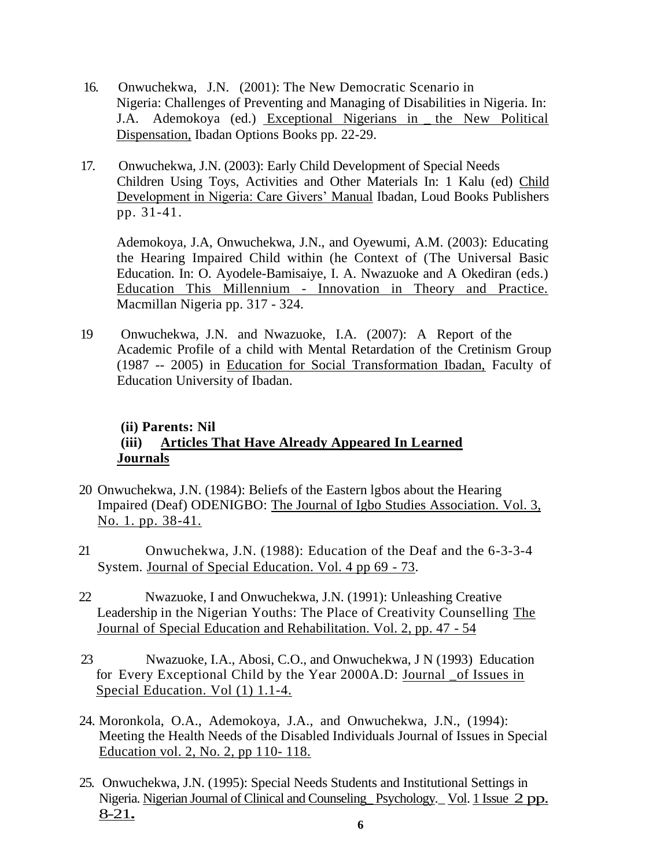- 16. Onwuchekwa, J.N. (2001): The New Democratic Scenario in Nigeria: Challenges of Preventing and Managing of Disabilities in Nigeria. In: J.A. Ademokoya (ed.) Exceptional Nigerians in the New Political Dispensation, Ibadan Options Books pp. 22-29.
- 17. Onwuchekwa, J.N. (2003): Early Child Development of Special Needs Children Using Toys, Activities and Other Materials In: 1 Kalu (ed) Child Development in Nigeria: Care Givers' Manual Ibadan, Loud Books Publishers pp. 31-41.

Ademokoya, J.A, Onwuchekwa, J.N., and Oyewumi, A.M. (2003): Educating the Hearing Impaired Child within (he Context of (The Universal Basic Education. In: O. Ayodele-Bamisaiye, I. A. Nwazuoke and A Okediran (eds.) Education This Millennium - Innovation in Theory and Practice. Macmillan Nigeria pp. 317 - 324.

19 Onwuchekwa, J.N. and Nwazuoke, I.A. (2007): A Report of the Academic Profile of a child with Mental Retardation of the Cretinism Group (1987 -- 2005) in Education for Social Transformation Ibadan, Faculty of Education University of Ibadan.

## **(ii) Parents: Nil (iii) Articles That Have Already Appeared In Learned Journals**

- 20 Onwuchekwa, J.N. (1984): Beliefs of the Eastern lgbos about the Hearing Impaired (Deaf) ODENIGBO: The Journal of Igbo Studies Association. Vol. 3, No. 1. pp. 38-41.
- 21 Onwuchekwa, J.N. (1988): Education of the Deaf and the 6-3-3-4 System. Journal of Special Education. Vol. 4 pp 69 - 73.
- 22 Nwazuoke, I and Onwuchekwa, J.N. (1991): Unleashing Creative Leadership in the Nigerian Youths: The Place of Creativity Counselling The Journal of Special Education and Rehabilitation. Vol. 2, pp. 47 - 54
- 23 Nwazuoke, I.A., Abosi, C.O., and Onwuchekwa, J N (1993) Education for Every Exceptional Child by the Year 2000A.D: Journal \_of Issues in Special Education. Vol (1) 1.1-4.
- 24. Moronkola, O.A., Ademokoya, J.A., and Onwuchekwa, J.N., (1994): Meeting the Health Needs of the Disabled Individuals Journal of Issues in Special Education vol. 2, No. 2, pp 110- 118.
- 25. Onwuchekwa, J.N. (1995): Special Needs Students and Institutional Settings in Nigeria. Nigerian Journal of Clinical and Counseling\_ Psychology*.\_* Vol. 1 Issue 2 pp. 8-21**.**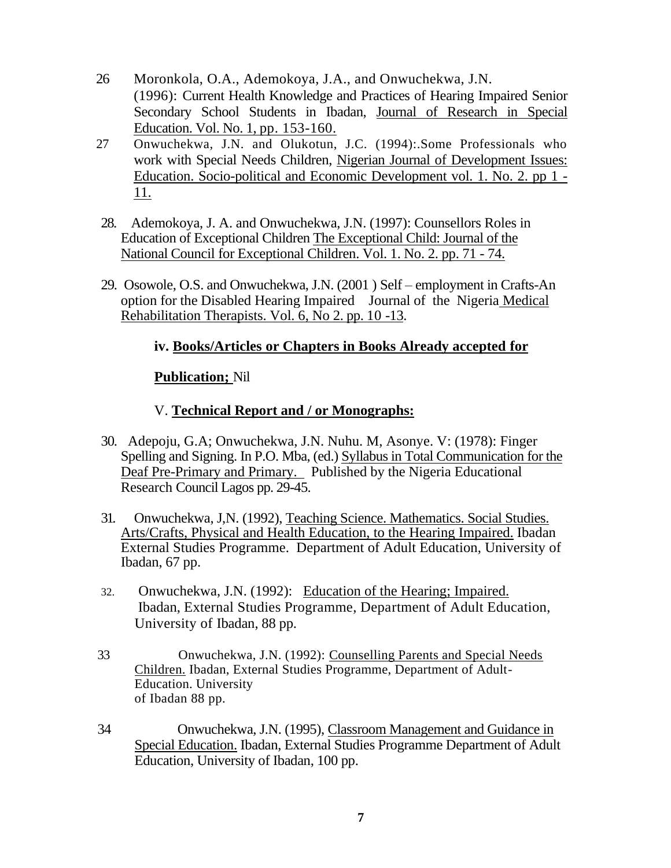- 26 Moronkola, O.A., Ademokoya, J.A., and Onwuchekwa, J.N. (1996): Current Health Knowledge and Practices of Hearing Impaired Senior Secondary School Students in Ibadan, Journal of Research in Special Education. Vol. No. 1, pp. 153-160.
- 27 Onwuchekwa, J.N. and Olukotun, J.C. (1994):.Some Professionals who work with Special Needs Children, Nigerian Journal of Development Issues: Education. Socio-political and Economic Development vol. 1. No. 2. pp 1 - 11.
- 28. Ademokoya, J. A. and Onwuchekwa, J.N. (1997): Counsellors Roles in Education of Exceptional Children The Exceptional Child: Journal of the National Council for Exceptional Children. Vol. 1. No. 2. pp. 71 *-* 74.
- 29. Osowole, O.S. and Onwuchekwa, J.N. (2001 ) Self employment in Crafts-An option for the Disabled Hearing Impaired Journal of the Nigeria Medical Rehabilitation Therapists. Vol. 6, No 2. pp. 10 *-*13.

## **iv. Books/Articles or Chapters in Books Already accepted for**

## **Publication;** Nil

## V. **Technical Report and / or Monographs:**

- 30. Adepoju, G.A; Onwuchekwa, J.N. Nuhu. M, Asonye. V: (1978): Finger Spelling and Signing. In P.O. Mba, (ed.) Syllabus in Total Communication for the Deaf Pre-Primary and Primary. Published by the Nigeria Educational Research Council Lagos pp. 29-45.
- 31. Onwuchekwa, J,N. (1992), Teaching Science. Mathematics. Social Studies. Arts/Crafts, Physical and Health Education, to the Hearing Impaired. Ibadan External Studies Programme. Department of Adult Education, University of Ibadan, 67 pp.
- 32. Onwuchekwa, J.N. (1992): Education of the Hearing; Impaired. Ibadan, External Studies Programme, Department of Adult Education, University of Ibadan, 88 pp.
- 33 Onwuchekwa, J.N. (1992): Counselling Parents and Special Needs Children. Ibadan, External Studies Programme, Department of Adult-Education. University of Ibadan 88 pp.
- 34 Onwuchekwa, J.N. (1995), Classroom Management and Guidance in Special Education. Ibadan, External Studies Programme Department of Adult Education, University of Ibadan, 100 pp.